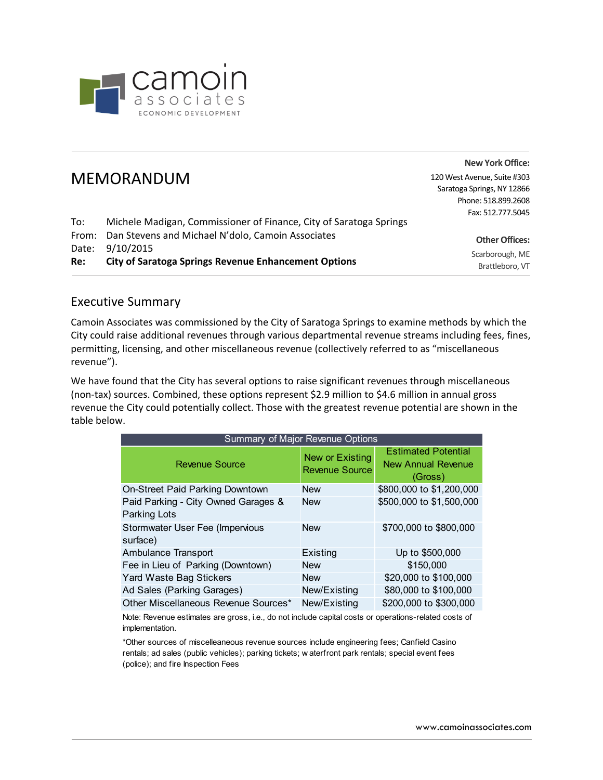

|       |                                                                    | <b>New York Office:</b>     |
|-------|--------------------------------------------------------------------|-----------------------------|
|       | <b>MEMORANDUM</b>                                                  | 120 West Avenue, Suite #303 |
|       |                                                                    | Saratoga Springs, NY 12866  |
|       |                                                                    | Phone: 518.899.2608         |
|       |                                                                    | Fax: 512.777.5045           |
| To:   | Michele Madigan, Commissioner of Finance, City of Saratoga Springs |                             |
| From: | Dan Stevens and Michael N'dolo, Camoin Associates                  | <b>Other Offices:</b>       |
| Date: | 9/10/2015                                                          | Scarborough, ME             |
| Re:   | <b>City of Saratoga Springs Revenue Enhancement Options</b>        | Brattleboro, VT             |

## Executive Summary

Camoin Associates was commissioned by the City of Saratoga Springs to examine methods by which the City could raise additional revenues through various departmental revenue streams including fees, fines, permitting, licensing, and other miscellaneous revenue (collectively referred to as "miscellaneous revenue").

We have found that the City has several options to raise significant revenues through miscellaneous (non‐tax) sources. Combined, these options represent \$2.9 million to \$4.6 million in annual gross revenue the City could potentially collect. Those with the greatest revenue potential are shown in the table below.

| Summary of Major Revenue Options                           |                                          |                                                             |  |  |
|------------------------------------------------------------|------------------------------------------|-------------------------------------------------------------|--|--|
| Revenue Source                                             | New or Existing<br><b>Revenue Source</b> | <b>Estimated Potential</b><br>New Annual Revenue<br>(Gross) |  |  |
| On-Street Paid Parking Downtown                            | <b>New</b>                               | \$800,000 to \$1,200,000                                    |  |  |
| Paid Parking - City Owned Garages &<br><b>Parking Lots</b> | <b>New</b>                               | \$500,000 to \$1,500,000                                    |  |  |
| Stormwater User Fee (Impervious<br>surface)                | <b>New</b>                               | \$700,000 to \$800,000                                      |  |  |
| Ambulance Transport                                        | <b>Existing</b>                          | Up to \$500,000                                             |  |  |
| Fee in Lieu of Parking (Downtown)                          | <b>New</b>                               | \$150,000                                                   |  |  |
| Yard Waste Bag Stickers                                    | <b>New</b>                               | \$20,000 to \$100,000                                       |  |  |
| Ad Sales (Parking Garages)                                 | New/Existing                             | \$80,000 to \$100,000                                       |  |  |
| Other Miscellaneous Revenue Sources*                       | New/Existing                             | \$200,000 to \$300,000                                      |  |  |

Note: Revenue estimates are gross, i.e., do not include capital costs or operations-related costs of implementation.

\*Other sources of miscelleaneous revenue sources include engineering fees; Canfield Casino rentals; ad sales (public vehicles); parking tickets; w aterfront park rentals; special event fees (police); and fire Inspection Fees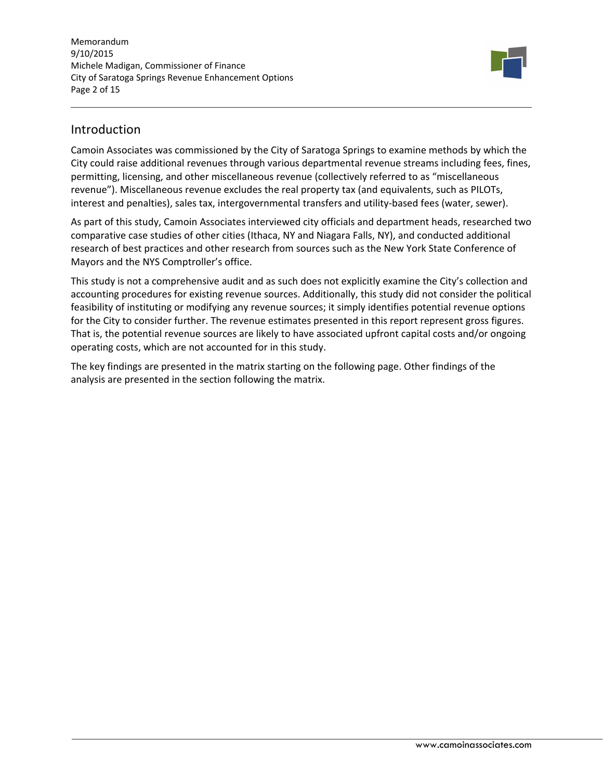Memorandum 9/10/2015 Michele Madigan, Commissioner of Finance City of Saratoga Springs Revenue Enhancement Options Page 2 of 15



## Introduction

Camoin Associates was commissioned by the City of Saratoga Springs to examine methods by which the City could raise additional revenues through various departmental revenue streams including fees, fines, permitting, licensing, and other miscellaneous revenue (collectively referred to as "miscellaneous revenue"). Miscellaneous revenue excludes the real property tax (and equivalents, such as PILOTs, interest and penalties), sales tax, intergovernmental transfers and utility‐based fees (water, sewer).

As part of this study, Camoin Associates interviewed city officials and department heads, researched two comparative case studies of other cities (Ithaca, NY and Niagara Falls, NY), and conducted additional research of best practices and other research from sources such as the New York State Conference of Mayors and the NYS Comptroller's office.

This study is not a comprehensive audit and as such does not explicitly examine the City's collection and accounting procedures for existing revenue sources. Additionally, this study did not consider the political feasibility of instituting or modifying any revenue sources; it simply identifies potential revenue options for the City to consider further. The revenue estimates presented in this report represent gross figures. That is, the potential revenue sources are likely to have associated upfront capital costs and/or ongoing operating costs, which are not accounted for in this study.

The key findings are presented in the matrix starting on the following page. Other findings of the analysis are presented in the section following the matrix.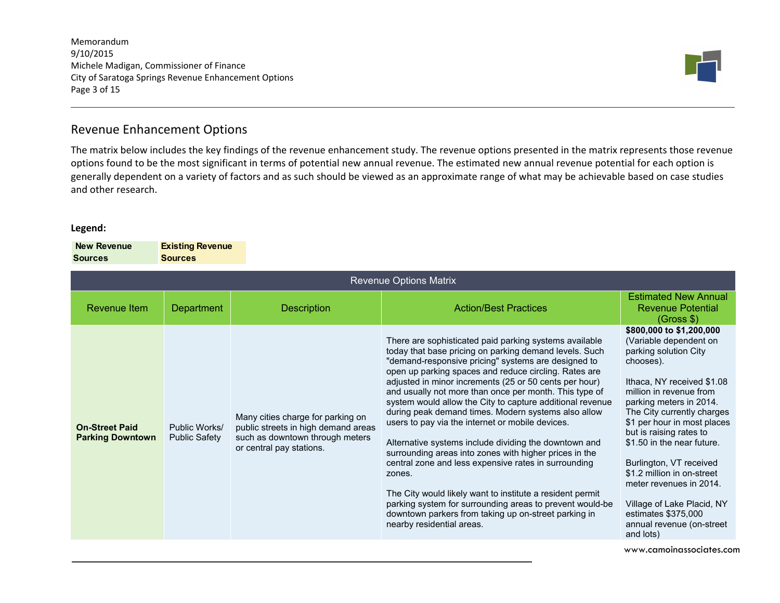Memorandum 9/10/2015 Michele Madigan, Commissioner of Finance City of Saratoga Springs Revenue Enhancement Options Page 3 of 15



# Revenue Enhancement Options

The matrix below includes the key findings of the revenue enhancement study. The revenue options presented in the matrix represents those revenue options found to be the most significant in terms of potential new annual revenue. The estimated new annual revenue potential for each option is generally dependent on a variety of factors and as such should be viewed as an approximate range of what may be achievable based on case studies and other research.

#### **Legend:**

 **New Revenue SourcesExisting Revenue Sources**

| <b>Revenue Options Matrix</b>                    |                                |                                                                                                                                         |                                                                                                                                                                                                                                                                                                                                                                                                                                                                                                                                                                                                                                                                                                                                                                                                                                                                                                                                 |                                                                                                                                                                                                                                                                                                                                                                                                                                                                                       |  |
|--------------------------------------------------|--------------------------------|-----------------------------------------------------------------------------------------------------------------------------------------|---------------------------------------------------------------------------------------------------------------------------------------------------------------------------------------------------------------------------------------------------------------------------------------------------------------------------------------------------------------------------------------------------------------------------------------------------------------------------------------------------------------------------------------------------------------------------------------------------------------------------------------------------------------------------------------------------------------------------------------------------------------------------------------------------------------------------------------------------------------------------------------------------------------------------------|---------------------------------------------------------------------------------------------------------------------------------------------------------------------------------------------------------------------------------------------------------------------------------------------------------------------------------------------------------------------------------------------------------------------------------------------------------------------------------------|--|
| Revenue Item                                     | <b>Department</b>              | <b>Description</b>                                                                                                                      | <b>Action/Best Practices</b>                                                                                                                                                                                                                                                                                                                                                                                                                                                                                                                                                                                                                                                                                                                                                                                                                                                                                                    | <b>Estimated New Annual</b><br><b>Revenue Potential</b><br>(Gross \$)                                                                                                                                                                                                                                                                                                                                                                                                                 |  |
| <b>On-Street Paid</b><br><b>Parking Downtown</b> | Public Works/<br>Public Safety | Many cities charge for parking on<br>public streets in high demand areas<br>such as downtown through meters<br>or central pay stations. | There are sophisticated paid parking systems available<br>today that base pricing on parking demand levels. Such<br>"demand-responsive pricing" systems are designed to<br>open up parking spaces and reduce circling. Rates are<br>adjusted in minor increments (25 or 50 cents per hour)<br>and usually not more than once per month. This type of<br>system would allow the City to capture additional revenue<br>during peak demand times. Modern systems also allow<br>users to pay via the internet or mobile devices.<br>Alternative systems include dividing the downtown and<br>surrounding areas into zones with higher prices in the<br>central zone and less expensive rates in surrounding<br>zones.<br>The City would likely want to institute a resident permit<br>parking system for surrounding areas to prevent would-be<br>downtown parkers from taking up on-street parking in<br>nearby residential areas. | \$800,000 to \$1,200,000<br>(Variable dependent on<br>parking solution City<br>chooses).<br>Ithaca, NY received \$1.08<br>million in revenue from<br>parking meters in 2014.<br>The City currently charges<br>\$1 per hour in most places<br>but is raising rates to<br>\$1.50 in the near future.<br>Burlington, VT received<br>\$1.2 million in on-street<br>meter revenues in 2014.<br>Village of Lake Placid, NY<br>estimates \$375,000<br>annual revenue (on-street<br>and lots) |  |

www.camoinassociates.com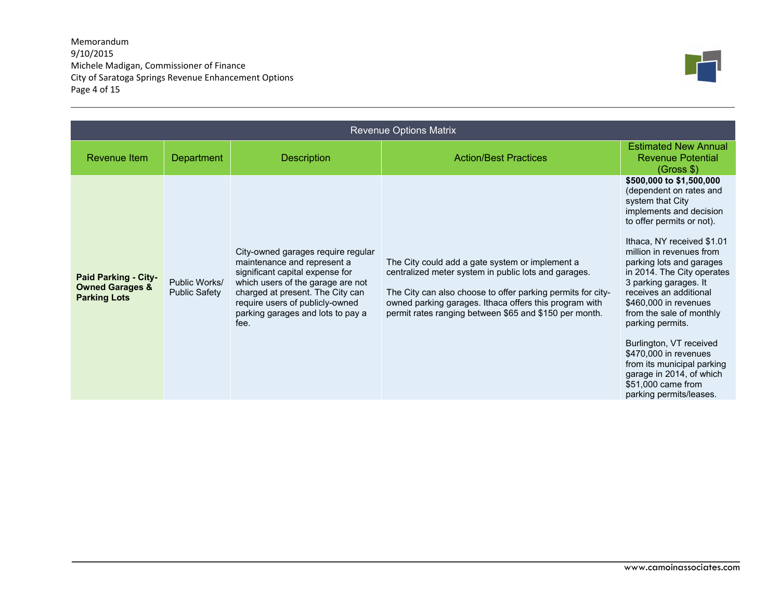Memorandum 9/10/2015 Michele Madigan, Commissioner of Finance City of Saratoga Springs Revenue Enhancement Options Page 4 of 15



| <b>Revenue Options Matrix</b>                                                    |                                |                                                                                                                                                                                                                                                               |                                                                                                                                                                                                                                                                                            |                                                                                                                                                                                                                                                                                                                                                                                                                                                                                                                                                |  |
|----------------------------------------------------------------------------------|--------------------------------|---------------------------------------------------------------------------------------------------------------------------------------------------------------------------------------------------------------------------------------------------------------|--------------------------------------------------------------------------------------------------------------------------------------------------------------------------------------------------------------------------------------------------------------------------------------------|------------------------------------------------------------------------------------------------------------------------------------------------------------------------------------------------------------------------------------------------------------------------------------------------------------------------------------------------------------------------------------------------------------------------------------------------------------------------------------------------------------------------------------------------|--|
| Revenue Item                                                                     | <b>Department</b>              | <b>Description</b>                                                                                                                                                                                                                                            | <b>Action/Best Practices</b>                                                                                                                                                                                                                                                               | <b>Estimated New Annual</b><br><b>Revenue Potential</b><br>(Gross \$)                                                                                                                                                                                                                                                                                                                                                                                                                                                                          |  |
| <b>Paid Parking - City-</b><br><b>Owned Garages &amp;</b><br><b>Parking Lots</b> | Public Works/<br>Public Safety | City-owned garages require regular<br>maintenance and represent a<br>significant capital expense for<br>which users of the garage are not<br>charged at present. The City can<br>require users of publicly-owned<br>parking garages and lots to pay a<br>fee. | The City could add a gate system or implement a<br>centralized meter system in public lots and garages.<br>The City can also choose to offer parking permits for city-<br>owned parking garages. Ithaca offers this program with<br>permit rates ranging between \$65 and \$150 per month. | \$500,000 to \$1,500,000<br>(dependent on rates and<br>system that City<br>implements and decision<br>to offer permits or not).<br>Ithaca, NY received \$1.01<br>million in revenues from<br>parking lots and garages<br>in 2014. The City operates<br>3 parking garages. It<br>receives an additional<br>\$460,000 in revenues<br>from the sale of monthly<br>parking permits.<br>Burlington, VT received<br>\$470,000 in revenues<br>from its municipal parking<br>garage in 2014, of which<br>\$51,000 came from<br>parking permits/leases. |  |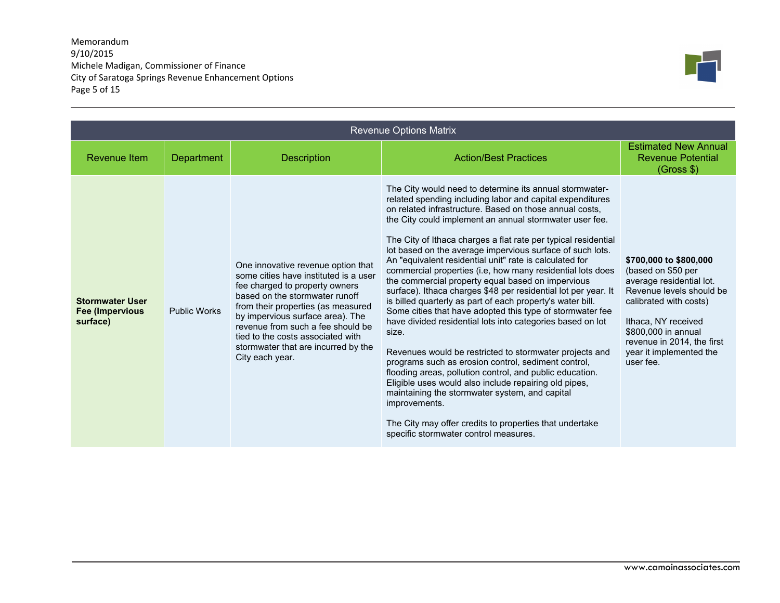## Memorandum 9/10/2015 Michele Madigan, Commissioner of Finance City of Saratoga Springs Revenue Enhancement Options Page 5 of 15



| <b>Revenue Options Matrix</b>                                 |                     |                                                                                                                                                                                                                                                                                                                                                               |                                                                                                                                                                                                                                                                                                                                                                                                                                                                                                                                                                                                                                                                                                                                                                                                                                                                                                                                                                                                                                                                                                                                                                                                                                           |                                                                                                                                                                                                                                                    |
|---------------------------------------------------------------|---------------------|---------------------------------------------------------------------------------------------------------------------------------------------------------------------------------------------------------------------------------------------------------------------------------------------------------------------------------------------------------------|-------------------------------------------------------------------------------------------------------------------------------------------------------------------------------------------------------------------------------------------------------------------------------------------------------------------------------------------------------------------------------------------------------------------------------------------------------------------------------------------------------------------------------------------------------------------------------------------------------------------------------------------------------------------------------------------------------------------------------------------------------------------------------------------------------------------------------------------------------------------------------------------------------------------------------------------------------------------------------------------------------------------------------------------------------------------------------------------------------------------------------------------------------------------------------------------------------------------------------------------|----------------------------------------------------------------------------------------------------------------------------------------------------------------------------------------------------------------------------------------------------|
| Revenue Item                                                  | <b>Department</b>   | <b>Description</b>                                                                                                                                                                                                                                                                                                                                            | <b>Action/Best Practices</b>                                                                                                                                                                                                                                                                                                                                                                                                                                                                                                                                                                                                                                                                                                                                                                                                                                                                                                                                                                                                                                                                                                                                                                                                              | <b>Estimated New Annual</b><br><b>Revenue Potential</b><br>(Gross \$)                                                                                                                                                                              |
| <b>Stormwater User</b><br><b>Fee (Impervious)</b><br>surface) | <b>Public Works</b> | One innovative revenue option that<br>some cities have instituted is a user<br>fee charged to property owners<br>based on the stormwater runoff<br>from their properties (as measured<br>by impervious surface area). The<br>revenue from such a fee should be<br>tied to the costs associated with<br>stormwater that are incurred by the<br>City each year. | The City would need to determine its annual stormwater-<br>related spending including labor and capital expenditures<br>on related infrastructure. Based on those annual costs,<br>the City could implement an annual stormwater user fee.<br>The City of Ithaca charges a flat rate per typical residential<br>lot based on the average impervious surface of such lots.<br>An "equivalent residential unit" rate is calculated for<br>commercial properties (i.e, how many residential lots does<br>the commercial property equal based on impervious<br>surface). Ithaca charges \$48 per residential lot per year. It<br>is billed quarterly as part of each property's water bill.<br>Some cities that have adopted this type of stormwater fee<br>have divided residential lots into categories based on lot<br>size.<br>Revenues would be restricted to stormwater projects and<br>programs such as erosion control, sediment control,<br>flooding areas, pollution control, and public education.<br>Eligible uses would also include repairing old pipes,<br>maintaining the stormwater system, and capital<br>improvements.<br>The City may offer credits to properties that undertake<br>specific stormwater control measures. | \$700,000 to \$800,000<br>(based on \$50 per<br>average residential lot.<br>Revenue levels should be<br>calibrated with costs)<br>Ithaca, NY received<br>\$800,000 in annual<br>revenue in 2014, the first<br>year it implemented the<br>user fee. |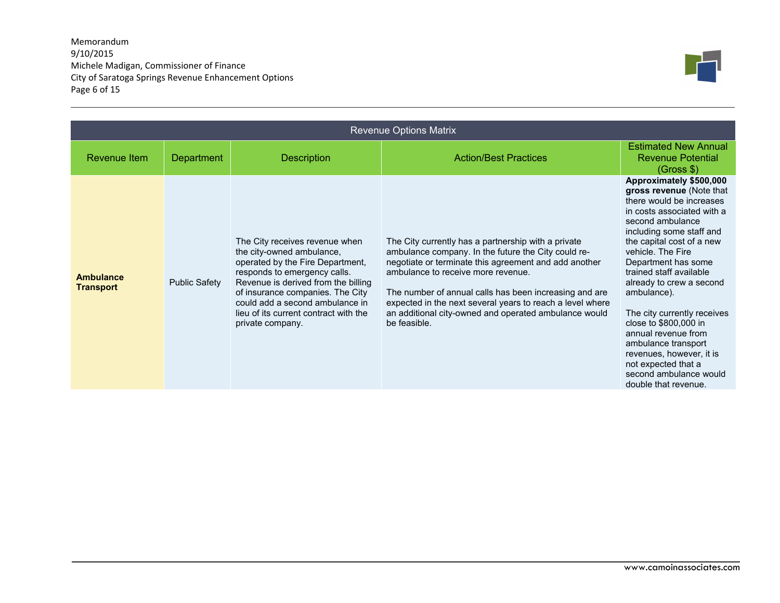## Memorandum 9/10/2015 Michele Madigan, Commissioner of Finance City of Saratoga Springs Revenue Enhancement Options Page 6 of 15



| <b>Revenue Options Matrix</b>        |                      |                                                                                                                                                                                                                                                                                                            |                                                                                                                                                                                                                                                                                                                                                                                                           |                                                                                                                                                                                                                                                                                                                                                                                                                                                                                                                         |  |
|--------------------------------------|----------------------|------------------------------------------------------------------------------------------------------------------------------------------------------------------------------------------------------------------------------------------------------------------------------------------------------------|-----------------------------------------------------------------------------------------------------------------------------------------------------------------------------------------------------------------------------------------------------------------------------------------------------------------------------------------------------------------------------------------------------------|-------------------------------------------------------------------------------------------------------------------------------------------------------------------------------------------------------------------------------------------------------------------------------------------------------------------------------------------------------------------------------------------------------------------------------------------------------------------------------------------------------------------------|--|
| Revenue Item                         | <b>Department</b>    | <b>Description</b>                                                                                                                                                                                                                                                                                         | <b>Action/Best Practices</b>                                                                                                                                                                                                                                                                                                                                                                              | <b>Estimated New Annual</b><br><b>Revenue Potential</b><br>(Gross \$)                                                                                                                                                                                                                                                                                                                                                                                                                                                   |  |
| <b>Ambulance</b><br><b>Transport</b> | <b>Public Safety</b> | The City receives revenue when<br>the city-owned ambulance,<br>operated by the Fire Department,<br>responds to emergency calls.<br>Revenue is derived from the billing<br>of insurance companies. The City<br>could add a second ambulance in<br>lieu of its current contract with the<br>private company. | The City currently has a partnership with a private<br>ambulance company. In the future the City could re-<br>negotiate or terminate this agreement and add another<br>ambulance to receive more revenue.<br>The number of annual calls has been increasing and are<br>expected in the next several years to reach a level where<br>an additional city-owned and operated ambulance would<br>be feasible. | Approximately \$500,000<br>gross revenue (Note that<br>there would be increases<br>in costs associated with a<br>second ambulance<br>including some staff and<br>the capital cost of a new<br>vehicle. The Fire<br>Department has some<br>trained staff available<br>already to crew a second<br>ambulance).<br>The city currently receives<br>close to \$800,000 in<br>annual revenue from<br>ambulance transport<br>revenues, however, it is<br>not expected that a<br>second ambulance would<br>double that revenue. |  |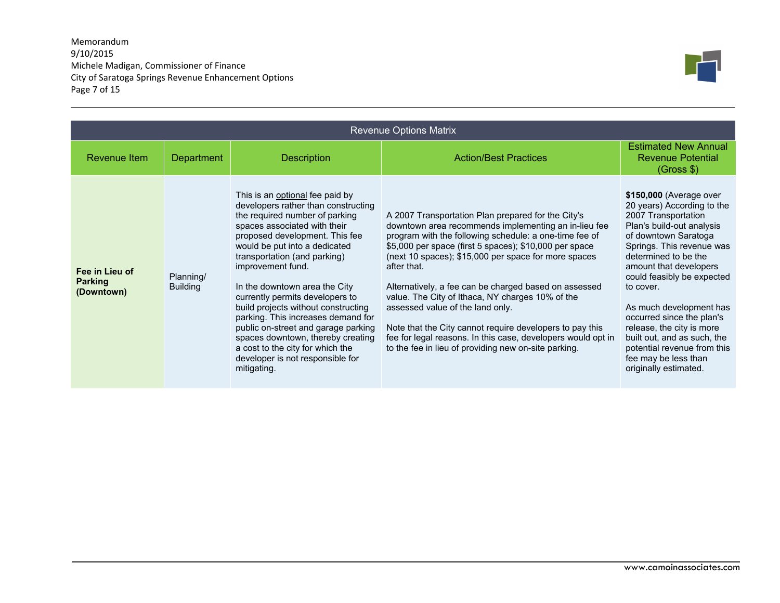## Memorandum 9/10/2015 Michele Madigan, Commissioner of Finance City of Saratoga Springs Revenue Enhancement Options Page 7 of 15



|                                                | <b>Revenue Options Matrix</b> |                                                                                                                                                                                                                                                                                                                                                                                                                                                                                                                                                                                      |                                                                                                                                                                                                                                                                                                                                                                                                                                                                                                                                                                                                                                            |                                                                                                                                                                                                                                                                                                                                                                                                                                                                 |  |  |
|------------------------------------------------|-------------------------------|--------------------------------------------------------------------------------------------------------------------------------------------------------------------------------------------------------------------------------------------------------------------------------------------------------------------------------------------------------------------------------------------------------------------------------------------------------------------------------------------------------------------------------------------------------------------------------------|--------------------------------------------------------------------------------------------------------------------------------------------------------------------------------------------------------------------------------------------------------------------------------------------------------------------------------------------------------------------------------------------------------------------------------------------------------------------------------------------------------------------------------------------------------------------------------------------------------------------------------------------|-----------------------------------------------------------------------------------------------------------------------------------------------------------------------------------------------------------------------------------------------------------------------------------------------------------------------------------------------------------------------------------------------------------------------------------------------------------------|--|--|
| Revenue Item                                   | <b>Department</b>             | <b>Description</b>                                                                                                                                                                                                                                                                                                                                                                                                                                                                                                                                                                   | <b>Action/Best Practices</b>                                                                                                                                                                                                                                                                                                                                                                                                                                                                                                                                                                                                               | <b>Estimated New Annual</b><br><b>Revenue Potential</b><br>(Gross \$)                                                                                                                                                                                                                                                                                                                                                                                           |  |  |
| Fee in Lieu of<br><b>Parking</b><br>(Downtown) | Planning/<br><b>Building</b>  | This is an optional fee paid by<br>developers rather than constructing<br>the required number of parking<br>spaces associated with their<br>proposed development. This fee<br>would be put into a dedicated<br>transportation (and parking)<br>improvement fund.<br>In the downtown area the City<br>currently permits developers to<br>build projects without constructing<br>parking. This increases demand for<br>public on-street and garage parking<br>spaces downtown, thereby creating<br>a cost to the city for which the<br>developer is not responsible for<br>mitigating. | A 2007 Transportation Plan prepared for the City's<br>downtown area recommends implementing an in-lieu fee<br>program with the following schedule: a one-time fee of<br>\$5,000 per space (first 5 spaces); \$10,000 per space<br>(next 10 spaces); \$15,000 per space for more spaces<br>after that.<br>Alternatively, a fee can be charged based on assessed<br>value. The City of Ithaca, NY charges 10% of the<br>assessed value of the land only.<br>Note that the City cannot require developers to pay this<br>fee for legal reasons. In this case, developers would opt in<br>to the fee in lieu of providing new on-site parking. | \$150,000 (Average over<br>20 years) According to the<br>2007 Transportation<br>Plan's build-out analysis<br>of downtown Saratoga<br>Springs. This revenue was<br>determined to be the<br>amount that developers<br>could feasibly be expected<br>to cover.<br>As much development has<br>occurred since the plan's<br>release, the city is more<br>built out, and as such, the<br>potential revenue from this<br>fee may be less than<br>originally estimated. |  |  |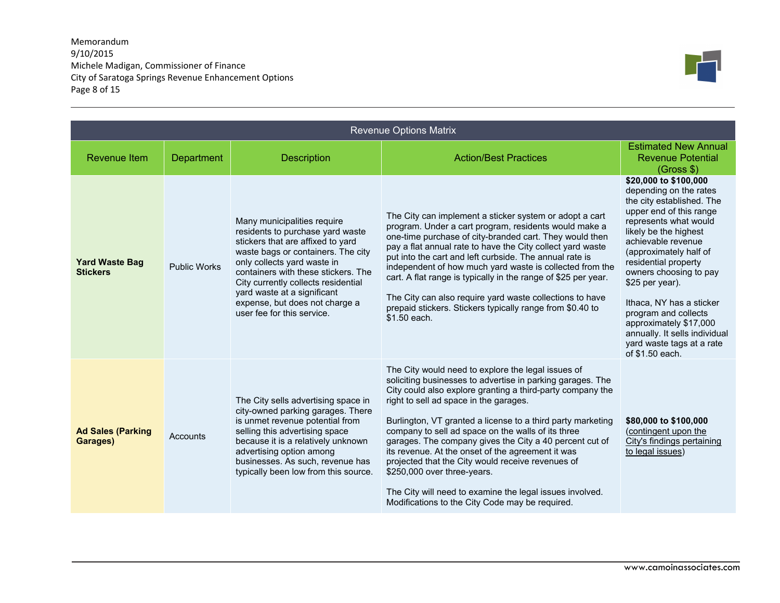## Memorandum 9/10/2015 Michele Madigan, Commissioner of Finance City of Saratoga Springs Revenue Enhancement Options Page 8 of 15



| <b>Revenue Options Matrix</b>            |                     |                                                                                                                                                                                                                                                                                                                                                        |                                                                                                                                                                                                                                                                                                                                                                                                                                                                                                                                                                                                                                                                  |                                                                                                                                                                                                                                                                                                                                                                                                                                               |
|------------------------------------------|---------------------|--------------------------------------------------------------------------------------------------------------------------------------------------------------------------------------------------------------------------------------------------------------------------------------------------------------------------------------------------------|------------------------------------------------------------------------------------------------------------------------------------------------------------------------------------------------------------------------------------------------------------------------------------------------------------------------------------------------------------------------------------------------------------------------------------------------------------------------------------------------------------------------------------------------------------------------------------------------------------------------------------------------------------------|-----------------------------------------------------------------------------------------------------------------------------------------------------------------------------------------------------------------------------------------------------------------------------------------------------------------------------------------------------------------------------------------------------------------------------------------------|
| <b>Revenue Item</b>                      | Department          | <b>Description</b>                                                                                                                                                                                                                                                                                                                                     | <b>Action/Best Practices</b>                                                                                                                                                                                                                                                                                                                                                                                                                                                                                                                                                                                                                                     | <b>Estimated New Annual</b><br><b>Revenue Potential</b><br>(Gross \$)                                                                                                                                                                                                                                                                                                                                                                         |
| <b>Yard Waste Bag</b><br><b>Stickers</b> | <b>Public Works</b> | Many municipalities require<br>residents to purchase yard waste<br>stickers that are affixed to yard<br>waste bags or containers. The city<br>only collects yard waste in<br>containers with these stickers. The<br>City currently collects residential<br>yard waste at a significant<br>expense, but does not charge a<br>user fee for this service. | The City can implement a sticker system or adopt a cart<br>program. Under a cart program, residents would make a<br>one-time purchase of city-branded cart. They would then<br>pay a flat annual rate to have the City collect yard waste<br>put into the cart and left curbside. The annual rate is<br>independent of how much yard waste is collected from the<br>cart. A flat range is typically in the range of \$25 per year.<br>The City can also require yard waste collections to have<br>prepaid stickers. Stickers typically range from \$0.40 to<br>\$1.50 each.                                                                                      | \$20,000 to \$100,000<br>depending on the rates<br>the city established. The<br>upper end of this range<br>represents what would<br>likely be the highest<br>achievable revenue<br>(approximately half of<br>residential property<br>owners choosing to pay<br>\$25 per year).<br>Ithaca. NY has a sticker<br>program and collects<br>approximately \$17,000<br>annually. It sells individual<br>yard waste tags at a rate<br>of \$1.50 each. |
| <b>Ad Sales (Parking</b><br>Garages)     | Accounts            | The City sells advertising space in<br>city-owned parking garages. There<br>is unmet revenue potential from<br>selling this advertising space<br>because it is a relatively unknown<br>advertising option among<br>businesses. As such, revenue has<br>typically been low from this source.                                                            | The City would need to explore the legal issues of<br>soliciting businesses to advertise in parking garages. The<br>City could also explore granting a third-party company the<br>right to sell ad space in the garages.<br>Burlington, VT granted a license to a third party marketing<br>company to sell ad space on the walls of its three<br>garages. The company gives the City a 40 percent cut of<br>its revenue. At the onset of the agreement it was<br>projected that the City would receive revenues of<br>\$250,000 over three-years.<br>The City will need to examine the legal issues involved.<br>Modifications to the City Code may be required. | \$80,000 to \$100,000<br>(contingent upon the<br>City's findings pertaining<br>to legal issues)                                                                                                                                                                                                                                                                                                                                               |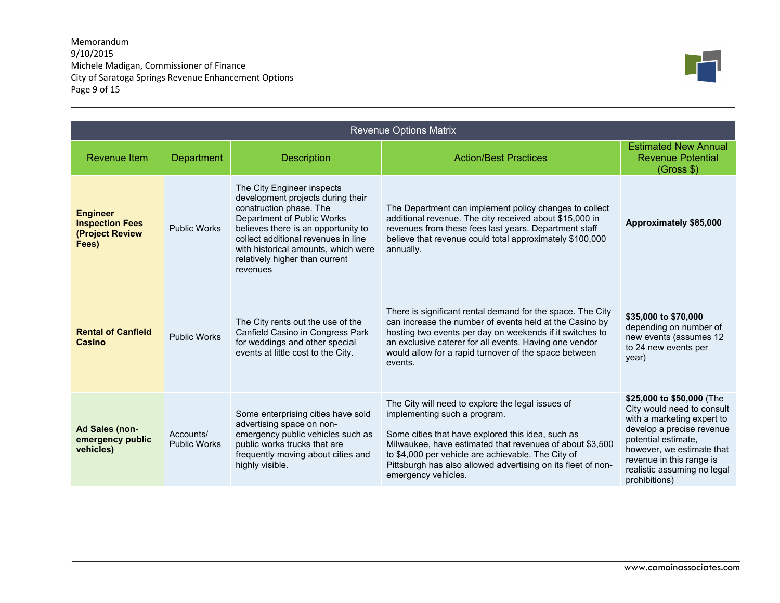Memorandum 9/10/2015 Michele Madigan, Commissioner of Finance City of Saratoga Springs Revenue Enhancement Options Page 9 of 15



| <b>Revenue Options Matrix</b>                                         |                                  |                                                                                                                                                                                                                                                                                             |                                                                                                                                                                                                                                                                                                                                                 |                                                                                                                                                                                                                                                    |
|-----------------------------------------------------------------------|----------------------------------|---------------------------------------------------------------------------------------------------------------------------------------------------------------------------------------------------------------------------------------------------------------------------------------------|-------------------------------------------------------------------------------------------------------------------------------------------------------------------------------------------------------------------------------------------------------------------------------------------------------------------------------------------------|----------------------------------------------------------------------------------------------------------------------------------------------------------------------------------------------------------------------------------------------------|
| Revenue Item                                                          | <b>Department</b>                | <b>Description</b>                                                                                                                                                                                                                                                                          | <b>Action/Best Practices</b>                                                                                                                                                                                                                                                                                                                    | <b>Estimated New Annual</b><br><b>Revenue Potential</b><br>(Gross \$)                                                                                                                                                                              |
| <b>Engineer</b><br><b>Inspection Fees</b><br>(Project Review<br>Fees) | <b>Public Works</b>              | The City Engineer inspects<br>development projects during their<br>construction phase. The<br>Department of Public Works<br>believes there is an opportunity to<br>collect additional revenues in line<br>with historical amounts, which were<br>relatively higher than current<br>revenues | The Department can implement policy changes to collect<br>additional revenue. The city received about \$15,000 in<br>revenues from these fees last years. Department staff<br>believe that revenue could total approximately \$100,000<br>annually.                                                                                             | Approximately \$85,000                                                                                                                                                                                                                             |
| <b>Rental of Canfield</b><br>Casino                                   | <b>Public Works</b>              | The City rents out the use of the<br>Canfield Casino in Congress Park<br>for weddings and other special<br>events at little cost to the City.                                                                                                                                               | There is significant rental demand for the space. The City<br>can increase the number of events held at the Casino by<br>hosting two events per day on weekends if it switches to<br>an exclusive caterer for all events. Having one vendor<br>would allow for a rapid turnover of the space between<br>events.                                 | \$35,000 to \$70,000<br>depending on number of<br>new events (assumes 12<br>to 24 new events per<br>year)                                                                                                                                          |
| Ad Sales (non-<br>emergency public<br>vehicles)                       | Accounts/<br><b>Public Works</b> | Some enterprising cities have sold<br>advertising space on non-<br>emergency public vehicles such as<br>public works trucks that are<br>frequently moving about cities and<br>highly visible.                                                                                               | The City will need to explore the legal issues of<br>implementing such a program.<br>Some cities that have explored this idea, such as<br>Milwaukee, have estimated that revenues of about \$3,500<br>to \$4,000 per vehicle are achievable. The City of<br>Pittsburgh has also allowed advertising on its fleet of non-<br>emergency vehicles. | \$25,000 to \$50,000 (The<br>City would need to consult<br>with a marketing expert to<br>develop a precise revenue<br>potential estimate,<br>however, we estimate that<br>revenue in this range is<br>realistic assuming no legal<br>prohibitions) |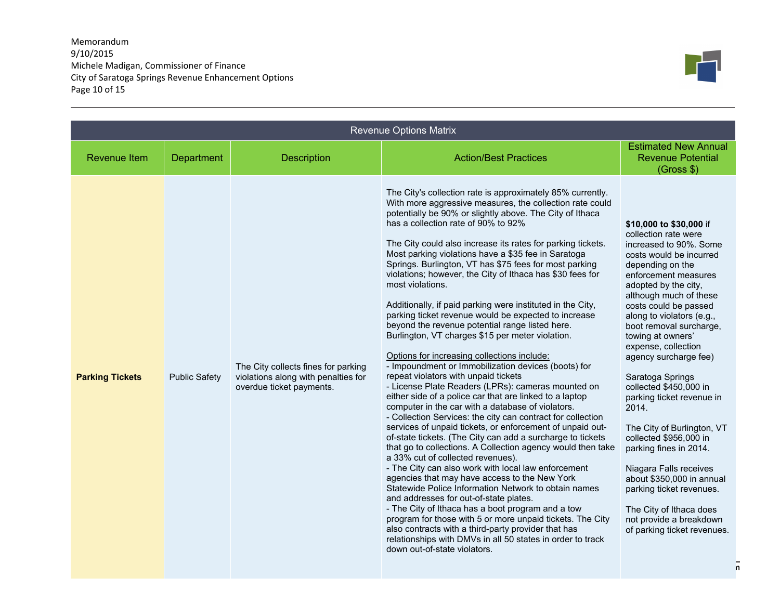Memorandum 9/10/2015 Michele Madigan, Commissioner of Finance City of Saratoga Springs Revenue Enhancement Options Page 10 of 15



| <b>Revenue Options Matrix</b> |                      |                                                                                                        |                                                                                                                                                                                                                                                                                                                                                                                                                                                                                                                                                                                                                                                                                                                                                                                                                                                                                                                                                                                                                                                                                                                                                                                                                                                                                                                                                                                                                                                                                                                                                                                                                                                                                                                                                                                                                            |                                                                                                                                                                                                                                                                                                                                                                                                                                                                                                                                                                                                                                                                                                        |   |
|-------------------------------|----------------------|--------------------------------------------------------------------------------------------------------|----------------------------------------------------------------------------------------------------------------------------------------------------------------------------------------------------------------------------------------------------------------------------------------------------------------------------------------------------------------------------------------------------------------------------------------------------------------------------------------------------------------------------------------------------------------------------------------------------------------------------------------------------------------------------------------------------------------------------------------------------------------------------------------------------------------------------------------------------------------------------------------------------------------------------------------------------------------------------------------------------------------------------------------------------------------------------------------------------------------------------------------------------------------------------------------------------------------------------------------------------------------------------------------------------------------------------------------------------------------------------------------------------------------------------------------------------------------------------------------------------------------------------------------------------------------------------------------------------------------------------------------------------------------------------------------------------------------------------------------------------------------------------------------------------------------------------|--------------------------------------------------------------------------------------------------------------------------------------------------------------------------------------------------------------------------------------------------------------------------------------------------------------------------------------------------------------------------------------------------------------------------------------------------------------------------------------------------------------------------------------------------------------------------------------------------------------------------------------------------------------------------------------------------------|---|
| <b>Revenue Item</b>           | Department           | <b>Description</b>                                                                                     | <b>Action/Best Practices</b>                                                                                                                                                                                                                                                                                                                                                                                                                                                                                                                                                                                                                                                                                                                                                                                                                                                                                                                                                                                                                                                                                                                                                                                                                                                                                                                                                                                                                                                                                                                                                                                                                                                                                                                                                                                               | <b>Estimated New Annual</b><br><b>Revenue Potential</b><br>(Gross \$)                                                                                                                                                                                                                                                                                                                                                                                                                                                                                                                                                                                                                                  |   |
| <b>Parking Tickets</b>        | <b>Public Safety</b> | The City collects fines for parking<br>violations along with penalties for<br>overdue ticket payments. | The City's collection rate is approximately 85% currently.<br>With more aggressive measures, the collection rate could<br>potentially be 90% or slightly above. The City of Ithaca<br>has a collection rate of 90% to 92%<br>The City could also increase its rates for parking tickets.<br>Most parking violations have a \$35 fee in Saratoga<br>Springs. Burlington, VT has \$75 fees for most parking<br>violations; however, the City of Ithaca has \$30 fees for<br>most violations.<br>Additionally, if paid parking were instituted in the City,<br>parking ticket revenue would be expected to increase<br>beyond the revenue potential range listed here.<br>Burlington, VT charges \$15 per meter violation.<br>Options for increasing collections include:<br>- Impoundment or Immobilization devices (boots) for<br>repeat violators with unpaid tickets<br>- License Plate Readers (LPRs): cameras mounted on<br>either side of a police car that are linked to a laptop<br>computer in the car with a database of violators.<br>- Collection Services: the city can contract for collection<br>services of unpaid tickets, or enforcement of unpaid out-<br>of-state tickets. (The City can add a surcharge to tickets<br>that go to collections. A Collection agency would then take<br>a 33% cut of collected revenues).<br>- The City can also work with local law enforcement<br>agencies that may have access to the New York<br>Statewide Police Information Network to obtain names<br>and addresses for out-of-state plates.<br>- The City of Ithaca has a boot program and a tow<br>program for those with 5 or more unpaid tickets. The City<br>also contracts with a third-party provider that has<br>relationships with DMVs in all 50 states in order to track<br>down out-of-state violators. | \$10,000 to \$30,000 if<br>collection rate were<br>increased to 90%. Some<br>costs would be incurred<br>depending on the<br>enforcement measures<br>adopted by the city,<br>although much of these<br>costs could be passed<br>along to violators (e.g.,<br>boot removal surcharge,<br>towing at owners'<br>expense, collection<br>agency surcharge fee)<br>Saratoga Springs<br>collected \$450,000 in<br>parking ticket revenue in<br>2014.<br>The City of Burlington, VT<br>collected \$956,000 in<br>parking fines in 2014.<br>Niagara Falls receives<br>about \$350,000 in annual<br>parking ticket revenues.<br>The City of Ithaca does<br>not provide a breakdown<br>of parking ticket revenues. | n |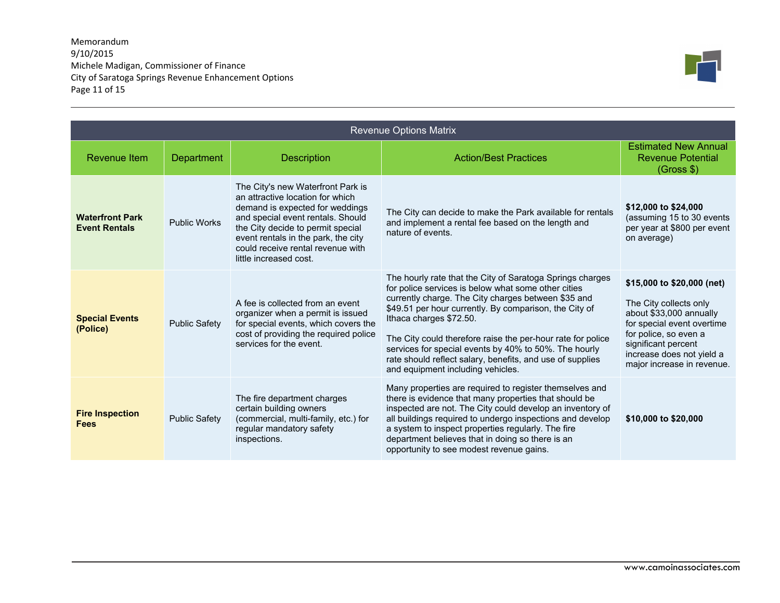## Memorandum 9/10/2015 Michele Madigan, Commissioner of Finance City of Saratoga Springs Revenue Enhancement Options Page 11 of 15



| <b>Revenue Options Matrix</b>                  |                      |                                                                                                                                                                                                                                                                                          |                                                                                                                                                                                                                                                                                                                                                                                                                                                                                        |                                                                                                                                                                                                                          |
|------------------------------------------------|----------------------|------------------------------------------------------------------------------------------------------------------------------------------------------------------------------------------------------------------------------------------------------------------------------------------|----------------------------------------------------------------------------------------------------------------------------------------------------------------------------------------------------------------------------------------------------------------------------------------------------------------------------------------------------------------------------------------------------------------------------------------------------------------------------------------|--------------------------------------------------------------------------------------------------------------------------------------------------------------------------------------------------------------------------|
| <b>Revenue Item</b>                            | Department           | <b>Description</b>                                                                                                                                                                                                                                                                       | <b>Action/Best Practices</b>                                                                                                                                                                                                                                                                                                                                                                                                                                                           | <b>Estimated New Annual</b><br><b>Revenue Potential</b><br>(Gross \$)                                                                                                                                                    |
| <b>Waterfront Park</b><br><b>Event Rentals</b> | <b>Public Works</b>  | The City's new Waterfront Park is<br>an attractive location for which<br>demand is expected for weddings<br>and special event rentals. Should<br>the City decide to permit special<br>event rentals in the park, the city<br>could receive rental revenue with<br>little increased cost. | The City can decide to make the Park available for rentals<br>and implement a rental fee based on the length and<br>nature of events.                                                                                                                                                                                                                                                                                                                                                  | \$12,000 to \$24,000<br>(assuming 15 to 30 events<br>per year at \$800 per event<br>on average)                                                                                                                          |
| <b>Special Events</b><br>(Police)              | <b>Public Safety</b> | A fee is collected from an event<br>organizer when a permit is issued<br>for special events, which covers the<br>cost of providing the required police<br>services for the event.                                                                                                        | The hourly rate that the City of Saratoga Springs charges<br>for police services is below what some other cities<br>currently charge. The City charges between \$35 and<br>\$49.51 per hour currently. By comparison, the City of<br>Ithaca charges \$72.50.<br>The City could therefore raise the per-hour rate for police<br>services for special events by 40% to 50%. The hourly<br>rate should reflect salary, benefits, and use of supplies<br>and equipment including vehicles. | \$15,000 to \$20,000 (net)<br>The City collects only<br>about \$33,000 annually<br>for special event overtime<br>for police, so even a<br>significant percent<br>increase does not yield a<br>major increase in revenue. |
| <b>Fire Inspection</b><br><b>Fees</b>          | <b>Public Safety</b> | The fire department charges<br>certain building owners<br>(commercial, multi-family, etc.) for<br>regular mandatory safety<br>inspections.                                                                                                                                               | Many properties are required to register themselves and<br>there is evidence that many properties that should be<br>inspected are not. The City could develop an inventory of<br>all buildings required to undergo inspections and develop<br>a system to inspect properties regularly. The fire<br>department believes that in doing so there is an<br>opportunity to see modest revenue gains.                                                                                       | \$10,000 to \$20,000                                                                                                                                                                                                     |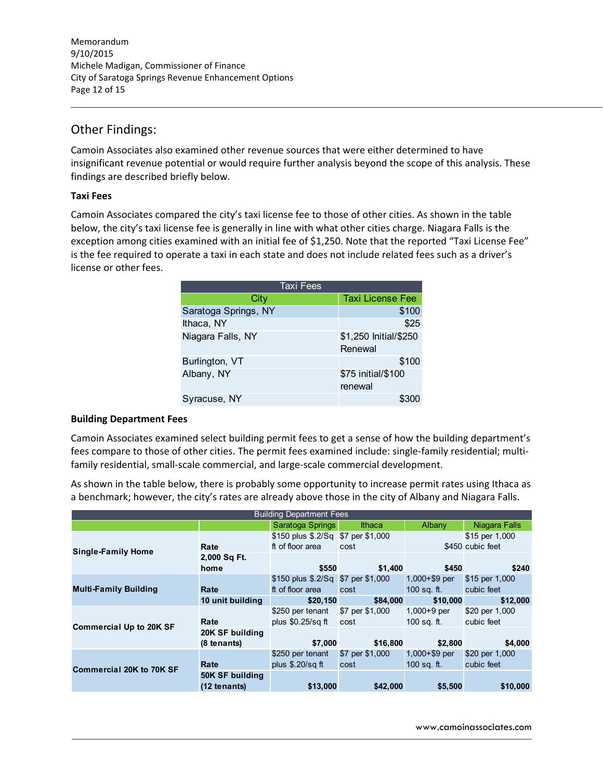Memorandum 9/10/2015 Michele Madigan, Commissioner of Finance City of Saratoga Springs Revenue Enhancement Options Page 12 of 15

## Other Findings:

Camoin Associates also examined other revenue sources that were either determined to have insignificant revenue potential or would require further analysis beyond the scope of this analysis. These findings are described briefly below.

## **Taxi Fees**

Camoin Associates compared the city's taxi license fee to those of other cities. As shown in the table below, the city's taxi license fee is generally in line with what other cities charge. Niagara Falls is the exception among cities examined with an initial fee of \$1,250. Note that the reported "Taxi License Fee" is the fee required to operate a taxi in each state and does not include related fees such as a driver's license or other fees.

| <b>Taxi Fees</b>     |                         |  |  |  |
|----------------------|-------------------------|--|--|--|
| City                 | <b>Taxi License Fee</b> |  |  |  |
| Saratoga Springs, NY | \$100                   |  |  |  |
| Ithaca, NY           | \$25                    |  |  |  |
| Niagara Falls, NY    | \$1,250 Initial/\$250   |  |  |  |
|                      | Renewal                 |  |  |  |
| Burlington, VT       | \$100                   |  |  |  |
| Albany, NY           | \$75 initial/\$100      |  |  |  |
|                      | renewal                 |  |  |  |
| Syracuse, NY         |                         |  |  |  |

## **Building Department Fees**

Camoin Associates examined select building permit fees to get a sense of how the building department's fees compare to those of other cities. The permit fees examined include: single-family residential; multifamily residential, small‐scale commercial, and large‐scale commercial development.

As shown in the table below, there is probably some opportunity to increase permit rates using Ithaca as a benchmark; however, the city's rates are already above those in the city of Albany and Niagara Falls.

| <b>Building Department Fees</b> |                  |                                    |                 |                  |                  |  |  |
|---------------------------------|------------------|------------------------------------|-----------------|------------------|------------------|--|--|
|                                 |                  | Saratoga Springs                   | Ithaca          | Albany           | Niagara Falls    |  |  |
|                                 |                  | \$150 plus \$.2/Sq \$7 per \$1,000 |                 |                  | \$15 per 1,000   |  |  |
| <b>Single-Family Home</b>       | Rate             | ft of floor area                   | cost            |                  | \$450 cubic feet |  |  |
|                                 | 2,000 Sq Ft.     |                                    |                 |                  |                  |  |  |
|                                 | home             | \$550                              | \$1,400         | \$450            | \$240            |  |  |
| <b>Multi-Family Building</b>    |                  | \$150 plus \$.2/Sq \$7 per \$1,000 |                 | $1,000 + $9$ per | \$15 per 1,000   |  |  |
|                                 | Rate             | ft of floor area                   | cost            | 100 sq. ft.      | cubic feet       |  |  |
|                                 | 10 unit building | \$20,150                           | \$84,000        | \$10,000         | \$12,000         |  |  |
| <b>Commercial Up to 20K SF</b>  |                  | \$250 per tenant                   | \$7 per \$1,000 | $1,000+9$ per    | \$20 per 1,000   |  |  |
|                                 | Rate             | plus \$0.25/sq ft                  | cost            | $100$ sq. ft.    | cubic feet       |  |  |
|                                 | 20K SF building  |                                    |                 |                  |                  |  |  |
|                                 | (8 tenants)      | \$7,000                            | \$16,800        | \$2,800          | \$4,000          |  |  |
| <b>Commercial 20K to 70K SF</b> |                  | \$250 per tenant                   | \$7 per \$1,000 | $1,000 + $9$ per | \$20 per 1,000   |  |  |
|                                 | Rate             | plus $$.20/sq$ ft                  | cost            | $100$ sq. ft.    | cubic feet       |  |  |
|                                 | 50K SF building  |                                    |                 |                  |                  |  |  |
|                                 | $(12$ tenants)   | \$13,000                           | \$42,000        | \$5,500          | \$10,000         |  |  |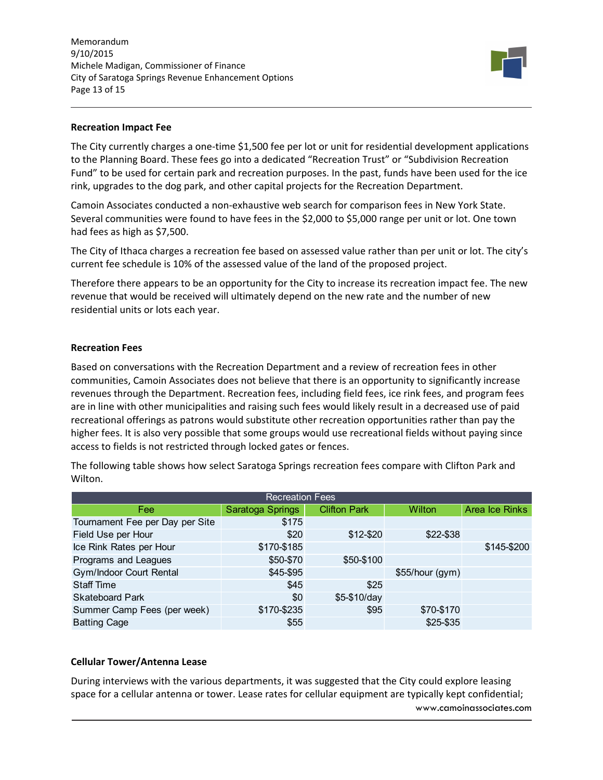Memorandum 9/10/2015 Michele Madigan, Commissioner of Finance City of Saratoga Springs Revenue Enhancement Options Page 13 of 15



#### **Recreation Impact Fee**

The City currently charges a one-time \$1,500 fee per lot or unit for residential development applications to the Planning Board. These fees go into a dedicated "Recreation Trust" or "Subdivision Recreation Fund" to be used for certain park and recreation purposes. In the past, funds have been used for the ice rink, upgrades to the dog park, and other capital projects for the Recreation Department.

Camoin Associates conducted a non‐exhaustive web search for comparison fees in New York State. Several communities were found to have fees in the \$2,000 to \$5,000 range per unit or lot. One town had fees as high as \$7,500.

The City of Ithaca charges a recreation fee based on assessed value rather than per unit or lot. The city's current fee schedule is 10% of the assessed value of the land of the proposed project.

Therefore there appears to be an opportunity for the City to increase its recreation impact fee. The new revenue that would be received will ultimately depend on the new rate and the number of new residential units or lots each year.

#### **Recreation Fees**

Based on conversations with the Recreation Department and a review of recreation fees in other communities, Camoin Associates does not believe that there is an opportunity to significantly increase revenues through the Department. Recreation fees, including field fees, ice rink fees, and program fees are in line with other municipalities and raising such fees would likely result in a decreased use of paid recreational offerings as patrons would substitute other recreation opportunities rather than pay the higher fees. It is also very possible that some groups would use recreational fields without paying since access to fields is not restricted through locked gates or fences.

The following table shows how select Saratoga Springs recreation fees compare with Clifton Park and Wilton.

| <b>Recreation Fees</b>          |                  |                     |                 |                |  |  |  |  |  |
|---------------------------------|------------------|---------------------|-----------------|----------------|--|--|--|--|--|
| Fee                             | Saratoga Springs | <b>Clifton Park</b> | <b>Wilton</b>   | Area Ice Rinks |  |  |  |  |  |
| Tournament Fee per Day per Site | \$175            |                     |                 |                |  |  |  |  |  |
| Field Use per Hour              | \$20             | \$12-\$20           | \$22-\$38       |                |  |  |  |  |  |
| Ice Rink Rates per Hour         | \$170-\$185      |                     |                 | \$145-\$200    |  |  |  |  |  |
| Programs and Leagues            | \$50-\$70        | \$50-\$100          |                 |                |  |  |  |  |  |
| <b>Gym/Indoor Court Rental</b>  | \$45-\$95        |                     | \$55/hour (gym) |                |  |  |  |  |  |
| <b>Staff Time</b>               | \$45             | \$25                |                 |                |  |  |  |  |  |
| <b>Skateboard Park</b>          | \$0              | $$5-$10/day$        |                 |                |  |  |  |  |  |
| Summer Camp Fees (per week)     | \$170-\$235      | \$95                | \$70-\$170      |                |  |  |  |  |  |
| <b>Batting Cage</b>             | \$55             |                     | \$25-\$35       |                |  |  |  |  |  |

### **Cellular Tower/Antenna Lease**

www.camoinassociates.com During interviews with the various departments, it was suggested that the City could explore leasing space for a cellular antenna or tower. Lease rates for cellular equipment are typically kept confidential;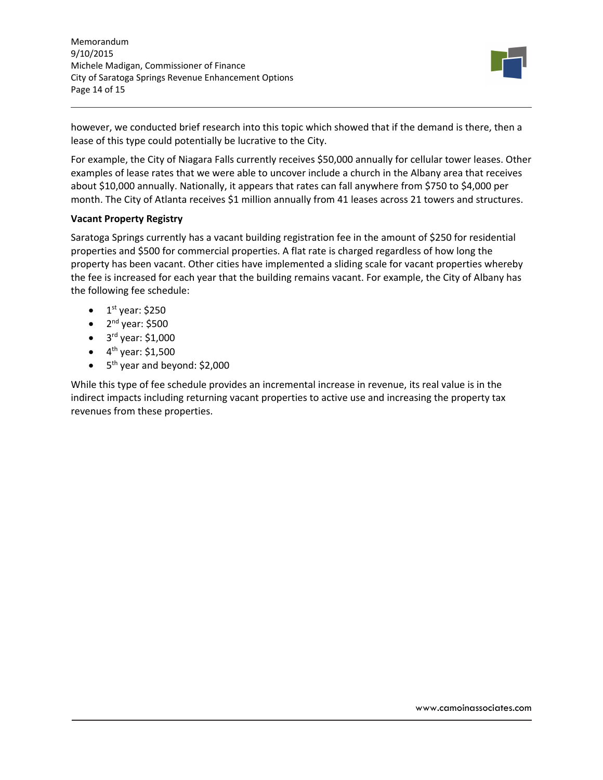Memorandum 9/10/2015 Michele Madigan, Commissioner of Finance City of Saratoga Springs Revenue Enhancement Options Page 14 of 15



however, we conducted brief research into this topic which showed that if the demand is there, then a lease of this type could potentially be lucrative to the City.

For example, the City of Niagara Falls currently receives \$50,000 annually for cellular tower leases. Other examples of lease rates that we were able to uncover include a church in the Albany area that receives about \$10,000 annually. Nationally, it appears that rates can fall anywhere from \$750 to \$4,000 per month. The City of Atlanta receives \$1 million annually from 41 leases across 21 towers and structures.

## **Vacant Property Registry**

Saratoga Springs currently has a vacant building registration fee in the amount of \$250 for residential properties and \$500 for commercial properties. A flat rate is charged regardless of how long the property has been vacant. Other cities have implemented a sliding scale for vacant properties whereby the fee is increased for each year that the building remains vacant. For example, the City of Albany has the following fee schedule:

- $\bullet$  1<sup>st</sup> year: \$250
- $\bullet$  2<sup>nd</sup> year: \$500
- $\bullet$  3<sup>rd</sup> year: \$1,000
- $\bullet$  4<sup>th</sup> year: \$1,500
- $\bullet$  5<sup>th</sup> year and beyond: \$2,000

While this type of fee schedule provides an incremental increase in revenue, its real value is in the indirect impacts including returning vacant properties to active use and increasing the property tax revenues from these properties.